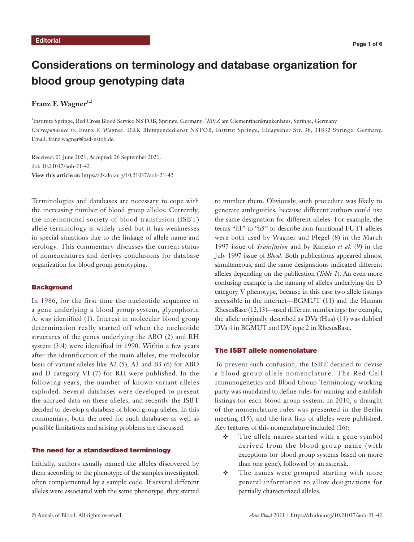# Considerations on terminology and database organization for blood group genotyping data

# **Franz F. Wagner1,2**

<sup>1</sup>Institute Springe, Red Cross Blood Service NSTOB, Springe, Germany; <sup>2</sup>MVZ am Clementinenkrankenhaus, Springe, Germany *Correspondence to:* Franz F. Wagner. DRK Blutspendedienst NSTOB, Institut Springe, Eldagsener Str. 38, 31832 Springe, Germany. Email: franz.wagner@bsd-nstob.de.

Received: 01 June 2021; Accepted: 26 September 2021. doi: 10.21037/aob-21-42 **View this article at:** https://dx.doi.org/10.21037/aob-21-42

Terminologies and databases are necessary to cope with the increasing number of blood group alleles. Currently, the international society of blood transfusion (ISBT) allele terminology is widely used but it has weaknesses in special situations due to the linkage of allele name and serology. This commentary discusses the current status of nomenclatures and derives conclusions for database organization for blood group genotyping.

#### **Background**

In 1986, for the first time the nucleotide sequence of a gene underlying a blood group system, glycophorin A, was identified (1). Interest in molecular blood group determination really started off when the nucleotide structures of the genes underlying the ABO (2) and RH system (3,4) were identified in 1990. Within a few years after the identification of the main alleles, the molecular basis of variant alleles like A2 (5), A3 and B3 (6) for ABO and D category VI (7) for RH were published. In the following years, the number of known variant alleles exploded. Several databases were developed to present the accrued data on these alleles, and recently the ISBT decided to develop a database of blood group alleles. In this commentary, both the need for such databases as well as possible limitations and arising problems are discussed.

#### The need for a standardized terminology

Initially, authors usually named the alleles discovered by them according to the phenotype of the samples investigated, often complemented by a sample code. If several different alleles were associated with the same phenotype, they started

to number them. Obviously, such procedure was likely to generate ambiguities, because different authors could use the same designation for different alleles: For example, the terms "h1" to "h5" to describe non-functional FUT1-alleles were both used by Wagner and Flegel (8) in the March 1997 issue of *Transfusion* and by Kaneko *et al.* (9) in the July 1997 issue of *Blood*. Both publications appeared almost simultaneous, and the same designations indicated different alleles depending on the publication (*Table 1*). An even more confusing example is the naming of alleles underlying the D category V phenotype, because in this case two allele listings accessible in the internet—BGMUT (11) and the Human RhesusBase (12,13)—used different numberings: for example, the allele originally described as DVa (Hus) (14) was dubbed DVa 4 in BGMUT and DV type 2 in RhesusBase.

#### The ISBT allele nomenclature

To prevent such confusion, the ISBT decided to devise a blood group allele nomenclature. The Red Cell Immunogenetics and Blood Group Terminology working party was mandated to define rules for naming and establish listings for each blood group system. In 2010, a draught of the nomenclature rules was presented in the Berlin meeting (15), and the first lists of alleles were published. Key features of this nomenclature included (16):

- The allele names started with a gene symbol derived from the blood group name (with exceptions for blood group systems based on more than one gene), followed by an asterisk.
- The names were grouped starting with more general information to allow designations for partially characterized alleles.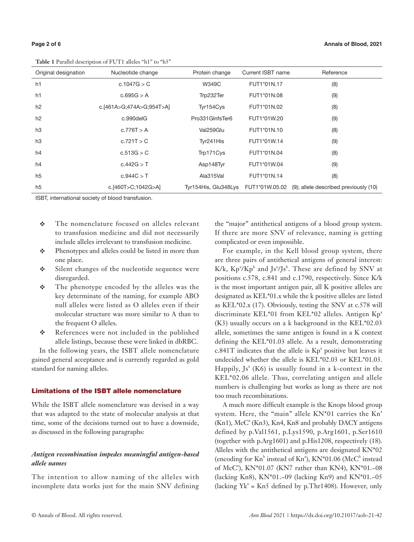**Table 1** Parallel description of FUT1 alleles "h1" to "h5"

| л.                   |                          |                      |                   |                                       |
|----------------------|--------------------------|----------------------|-------------------|---------------------------------------|
| Original designation | Nucleotide change        | Protein change       | Current ISBT name | Reference                             |
| h1                   | c.1047G > C              | <b>W349C</b>         | FUT1*01N.17       | (8)                                   |
| h <sub>1</sub>       | c.695G > A               | Trp232Ter            | FUT1*01N.08       | (9)                                   |
| h2                   | c.[461A>G;474A>G;954T>A] | Tyr154Cys            | FUT1*01N.02       | (8)                                   |
| h2                   | c.990delG                | Pro331GInfsTer6      | FUT1*01W.20       | (9)                                   |
| h3                   | c.776T > A               | Val259Glu            | FUT1*01N.10       | (8)                                   |
| h3                   | c.721T > C               | Tyr241His            | FUT1*01W.14       | (9)                                   |
| h4                   | c.513G > C               | Trp171Cys            | FUT1*01N.04       | (8)                                   |
| h4                   | c.442G > T               | Asp148Tyr            | FUT1*01W.04       | (9)                                   |
| h <sub>5</sub>       | c.944C > T               | Ala315Val            | FUT1*01N.14       | (8)                                   |
| h <sub>5</sub>       | c.[460T>C;1042G>A]       | Tyr154His, Glu348Lys | FUT1*01W.05.02    | (9); allele described previously (10) |

ISBT, international society of blood transfusion.

- The nomenclature focused on alleles relevant to transfusion medicine and did not necessarily include alleles irrelevant to transfusion medicine.
- Phenotypes and alleles could be listed in more than one place.
- Silent changes of the nucleotide sequence were disregarded.
- $\mathbf{\hat{P}}$  The phenotype encoded by the alleles was the key determinate of the naming, for example ABO null alleles were listed as O alleles even if their molecular structure was more similar to A than to the frequent O alleles.
- \* References were not included in the published allele listings, because these were linked in dbRBC.

In the following years, the ISBT allele nomenclature gained general acceptance and is currently regarded as gold standard for naming alleles.

#### Limitations of the ISBT allele nomenclature

While the ISBT allele nomenclature was devised in a way that was adapted to the state of molecular analysis at that time, some of the decisions turned out to have a downside, as discussed in the following paragraphs:

## *Antigen recombination impedes meaningful antigen-based allele names*

The intention to allow naming of the alleles with incomplete data works just for the main SNV defining

the "major" antithetical antigens of a blood group system. If there are more SNV of relevance, naming is getting complicated or even impossible.

For example, in the Kell blood group system, there are three pairs of antithetical antigens of general interest:  $K/k$ ,  $Kp^3/Kp^b$  and Js<sup>3</sup>/Js<sup>b</sup>. These are defined by SNV at positions c.578, c.841 and c.1790, respectively. Since K/k is the most important antigen pair, all K positive alleles are designated as KEL\*01.x while the k positive alleles are listed as KEL\*02.x (17). Obviously, testing the SNV at c.578 will discriminate KEL\*01 from KEL\*02 alleles. Antigen Kp<sup>a</sup> (K3) usually occurs on a k background in the KEL\*02.03 allele, sometimes the same antigen is found in a K context defining the KEL\*01.03 allele. As a result, demonstrating  $c.841T$  indicates that the allele is  $Kp^a$  positive but leaves it undecided whether the allele is KEL\*02.03 or KEL\*01.03. Happily,  $Js^{a}$  (K6) is usually found in a k-context in the KEL\*02.06 allele. Thus, correlating antigen and allele numbers is challenging but works as long as there are not too much recombinations.

A much more difficult example is the Knops blood group system. Here, the "main" allele  $KN*01$  carries the  $Kn^a$ (Kn1), McC<sup>a</sup> (Kn3), Kn4, Kn8 and probably DACY antigens defined by p.Val1561, p.Lys1590, p.Arg1601, p.Ser1610 (together with p.Arg1601) and p.His1208, respectively (18). Alleles with the antithetical antigens are designated KN\*02 (encoding for  $Kn^b$  instead of  $Kn^a$ ),  $KN^*01.06$  (McC<sup>b</sup> instead of McC<sup>a</sup>), KN\*01.07 (KN7 rather than KN4), KN\*01.-08 (lacking Kn8), KN\*01.−09 (lacking Kn9) and KN\*01.−05  $(lacking Yk<sup>a</sup> = Kn5 defined by p. Thr1408)$ . However, only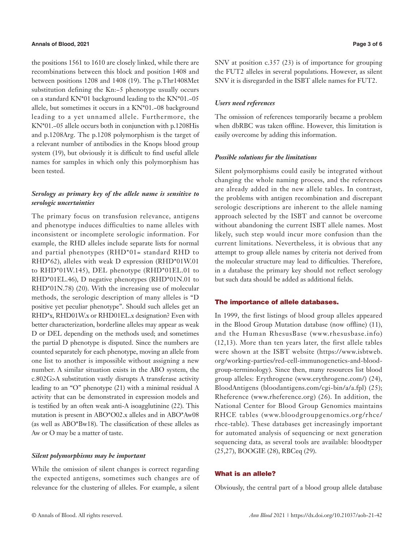#### **Annals of Blood, 2021 Page 3 of 6**

the positions 1561 to 1610 are closely linked, while there are recombinations between this block and position 1408 and between positions 1208 and 1408 (19). The p.Thr1408Met substitution defining the Kn:−5 phenotype usually occurs on a standard KN\*01 background leading to the KN\*01.−05 allele, but sometimes it occurs in a KN\*01.−08 background leading to a yet unnamed allele. Furthermore, the KN\*01.−05 allele occurs both in conjunction with p.1208His and p.1208Arg. The p.1208 polymorphism is the target of a relevant number of antibodies in the Knops blood group system (19), but obviously it is difficult to find useful allele names for samples in which only this polymorphism has been tested.

# *Serology as primary key of the allele name is sensitive to serologic uncertainties*

The primary focus on transfusion relevance, antigens and phenotype induces difficulties to name alleles with inconsistent or incomplete serologic information. For example, the RHD alleles include separate lists for normal and partial phenotypes (RHD\*01= standard RHD to RHD\*62), alleles with weak D expression (RHD\*01W.01 to RHD\*01W.145), DEL phenotype (RHD\*01EL.01 to RHD\*01EL.46), D negative phenotypes (RHD\*01N.01 to RHD\*01N.78) (20). With the increasing use of molecular methods, the serologic description of many alleles is "D positive yet peculiar phenotype". Should such alleles get an RHD\*x, RHD01W.x or RHD01EL.x designation? Even with better characterization, borderline alleles may appear as weak D or DEL depending on the methods used; and sometimes the partial D phenotype is disputed. Since the numbers are counted separately for each phenotype, moving an allele from one list to another is impossible without assigning a new number. A similar situation exists in the ABO system, the c.802G>A substitution vastly disrupts A transferase activity leading to an "O" phenotype (21) with a minimal residual A activity that can be demonstrated in expression models and is testified by an often weak anti-A isoagglutinine (22). This mutation is present in ABO\*O02.x alleles and in ABO\*Aw08 (as well as ABO\*Bw18). The classification of these alleles as Aw or O may be a matter of taste.

#### *Silent polymorphisms may be important*

While the omission of silent changes is correct regarding the expected antigens, sometimes such changes are of relevance for the clustering of alleles. For example, a silent SNV at position c.357 (23) is of importance for grouping the FUT2 alleles in several populations. However, as silent SNV it is disregarded in the ISBT allele names for FUT2.

#### *Users need references*

The omission of references temporarily became a problem when dbRBC was taken offline. However, this limitation is easily overcome by adding this information.

#### *Possible solutions for the limitations*

Silent polymorphisms could easily be integrated without changing the whole naming process, and the references are already added in the new allele tables. In contrast, the problems with antigen recombination and discrepant serologic descriptions are inherent to the allele naming approach selected by the ISBT and cannot be overcome without abandoning the current ISBT allele names. Most likely, such step would incur more confusion than the current limitations. Nevertheless, it is obvious that any attempt to group allele names by criteria not derived from the molecular structure may lead to difficulties. Therefore, in a database the primary key should not reflect serology but such data should be added as additional fields.

#### The importance of allele databases.

In 1999, the first listings of blood group alleles appeared in the Blood Group Mutation database (now offline) (11), and the Human RhesusBase (www.rhesusbase.info) (12,13). More than ten years later, the first allele tables were shown at the ISBT website (https://www.isbtweb. org/working-parties/red-cell-immunogenetics-and-bloodgroup-terminology). Since then, many resources list blood group alleles: Erythrogene (www.erythrogene.com/) (24), BloodAntigens (bloodantigens.com/cgi-bin/a/a.fpl) (25); Rheference (www.rheference.org) (26). In addition, the National Center for Blood Group Genomics maintains RHCE tables (www.bloodgroupgenomics.org/rhce/ rhce-table). These databases get increasingly important for automated analysis of sequencing or next generation sequencing data, as several tools are available: bloodtyper (25,27), BOOGIE (28), RBCeq (29).

#### What is an allele?

Obviously, the central part of a blood group allele database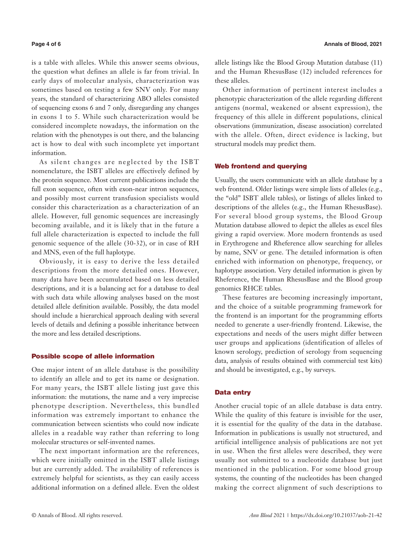is a table with alleles. While this answer seems obvious, the question what defines an allele is far from trivial. In early days of molecular analysis, characterization was sometimes based on testing a few SNV only. For many years, the standard of characterizing ABO alleles consisted of sequencing exons 6 and 7 only, disregarding any changes in exons 1 to 5. While such characterization would be considered incomplete nowadays, the information on the relation with the phenotypes is out there, and the balancing act is how to deal with such incomplete yet important information.

As silent changes are neglected by the ISBT nomenclature, the ISBT alleles are effectively defined by the protein sequence. Most current publications include the full exon sequence, often with exon-near intron sequences, and possibly most current transfusion specialists would consider this characterization as a characterization of an allele. However, full genomic sequences are increasingly becoming available, and it is likely that in the future a full allele characterization is expected to include the full genomic sequence of the allele (30-32), or in case of RH and MNS, even of the full haplotype.

Obviously, it is easy to derive the less detailed descriptions from the more detailed ones. However, many data have been accumulated based on less detailed descriptions, and it is a balancing act for a database to deal with such data while allowing analyses based on the most detailed allele definition available. Possibly, the data model should include a hierarchical approach dealing with several levels of details and defining a possible inheritance between the more and less detailed descriptions.

#### Possible scope of allele information

One major intent of an allele database is the possibility to identify an allele and to get its name or designation. For many years, the ISBT allele listing just gave this information: the mutations, the name and a very imprecise phenotype description. Nevertheless, this bundled information was extremely important to enhance the communication between scientists who could now indicate alleles in a readable way rather than referring to long molecular structures or self-invented names.

The next important information are the references, which were initially omitted in the ISBT allele listings but are currently added. The availability of references is extremely helpful for scientists, as they can easily access additional information on a defined allele. Even the oldest allele listings like the Blood Group Mutation database (11) and the Human RhesusBase (12) included references for these alleles.

Other information of pertinent interest includes a phenotypic characterization of the allele regarding different antigens (normal, weakened or absent expression), the frequency of this allele in different populations, clinical observations (immunization, disease association) correlated with the allele. Often, direct evidence is lacking, but structural models may predict them.

### Web frontend and querying

Usually, the users communicate with an allele database by a web frontend. Older listings were simple lists of alleles (e.g., the "old" ISBT allele tables), or listings of alleles linked to descriptions of the alleles (e.g., the Human RhesusBase). For several blood group systems, the Blood Group Mutation database allowed to depict the alleles as excel files giving a rapid overview. More modern frontends as used in Erythrogene and Rheference allow searching for alleles by name, SNV or gene. The detailed information is often enriched with information on phenotype, frequency, or haplotype association. Very detailed information is given by Rheference, the Human RhesusBase and the Blood group genomics RHCE tables.

These features are becoming increasingly important, and the choice of a suitable programming framework for the frontend is an important for the programming efforts needed to generate a user-friendly frontend. Likewise, the expectations and needs of the users might differ between user groups and applications (identification of alleles of known serology, prediction of serology from sequencing data, analysis of results obtained with commercial test kits) and should be investigated, e.g., by surveys.

#### Data entry

Another crucial topic of an allele database is data entry. While the quality of this feature is invisible for the user, it is essential for the quality of the data in the database. Information in publications is usually not structured, and artificial intelligence analysis of publications are not yet in use. When the first alleles were described, they were usually not submitted to a nucleotide database but just mentioned in the publication. For some blood group systems, the counting of the nucleotides has been changed making the correct alignment of such descriptions to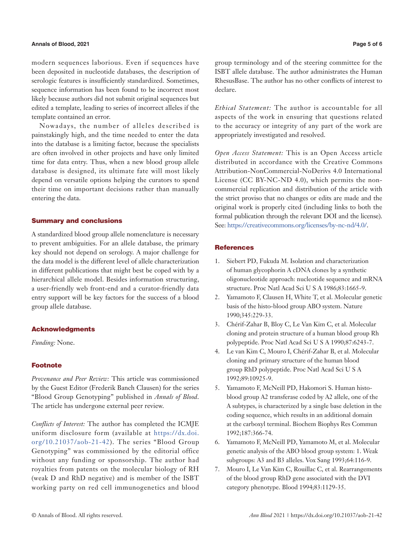#### **Annals of Blood, 2021 Page 5 of 6**

modern sequences laborious. Even if sequences have been deposited in nucleotide databases, the description of serologic features is insufficiently standardized. Sometimes, sequence information has been found to be incorrect most likely because authors did not submit original sequences but edited a template, leading to series of incorrect alleles if the template contained an error.

Nowadays, the number of alleles described is painstakingly high, and the time needed to enter the data into the database is a limiting factor, because the specialists are often involved in other projects and have only limited time for data entry. Thus, when a new blood group allele database is designed, its ultimate fate will most likely depend on versatile options helping the curators to spend their time on important decisions rather than manually entering the data.

### Summary and conclusions

A standardized blood group allele nomenclature is necessary to prevent ambiguities. For an allele database, the primary key should not depend on serology. A major challenge for the data model is the different level of allele characterization in different publications that might best be coped with by a hierarchical allele model. Besides information structuring, a user-friendly web front-end and a curator-friendly data entry support will be key factors for the success of a blood group allele database.

### Acknowledgments

*Funding:* None.

#### Footnote

*Provenance and Peer Review:* This article was commissioned by the Guest Editor (Frederik Banch Clausen) for the series "Blood Group Genotyping" published in *Annals of Blood*. The article has undergone external peer review.

*Conflicts of Interest:* The author has completed the ICMJE uniform disclosure form (available at [https://dx.doi.](https://dx.doi.org/10.21037/aob-21-42) [org/10.21037/aob-21-42](https://dx.doi.org/10.21037/aob-21-42)). The series "Blood Group Genotyping" was commissioned by the editorial office without any funding or sponsorship. The author had royalties from patents on the molecular biology of RH (weak D and RhD negative) and is member of the ISBT working party on red cell immunogenetics and blood group terminology and of the steering committee for the ISBT allele database. The author administrates the Human RhesusBase. The author has no other conflicts of interest to declare.

*Ethical Statement:* The author is accountable for all aspects of the work in ensuring that questions related to the accuracy or integrity of any part of the work are appropriately investigated and resolved.

*Open Access Statement:* This is an Open Access article distributed in accordance with the Creative Commons Attribution-NonCommercial-NoDerivs 4.0 International License (CC BY-NC-ND 4.0), which permits the noncommercial replication and distribution of the article with the strict proviso that no changes or edits are made and the original work is properly cited (including links to both the formal publication through the relevant DOI and the license). See: [https://creativecommons.org/licenses/by-nc-nd/4.0/.](https://creativecommons.org/licenses/by-nc-nd/4.0/)

#### **References**

- 1. Siebert PD, Fukuda M. Isolation and characterization of human glycophorin A cDNA clones by a synthetic oligonucleotide approach: nucleotide sequence and mRNA structure. Proc Natl Acad Sci U S A 1986;83:1665-9.
- 2. Yamamoto F, Clausen H, White T, et al. Molecular genetic basis of the histo-blood group ABO system. Nature 1990;345:229-33.
- 3. Chérif-Zahar B, Bloy C, Le Van Kim C, et al. Molecular cloning and protein structure of a human blood group Rh polypeptide. Proc Natl Acad Sci U S A 1990;87:6243-7.
- 4. Le van Kim C, Mouro I, Chérif-Zahar B, et al. Molecular cloning and primary structure of the human blood group RhD polypeptide. Proc Natl Acad Sci U S A 1992;89:10925-9.
- 5. Yamamoto F, McNeill PD, Hakomori S. Human histoblood group A2 transferase coded by A2 allele, one of the A subtypes, is characterized by a single base deletion in the coding sequence, which results in an additional domain at the carboxyl terminal. Biochem Biophys Res Commun 1992;187:366-74.
- 6. Yamamoto F, McNeill PD, Yamamoto M, et al. Molecular genetic analysis of the ABO blood group system: 1. Weak subgroups: A3 and B3 alleles. Vox Sang 1993;64:116-9.
- 7. Mouro I, Le Van Kim C, Rouillac C, et al. Rearrangements of the blood group RhD gene associated with the DVI category phenotype. Blood 1994;83:1129-35.